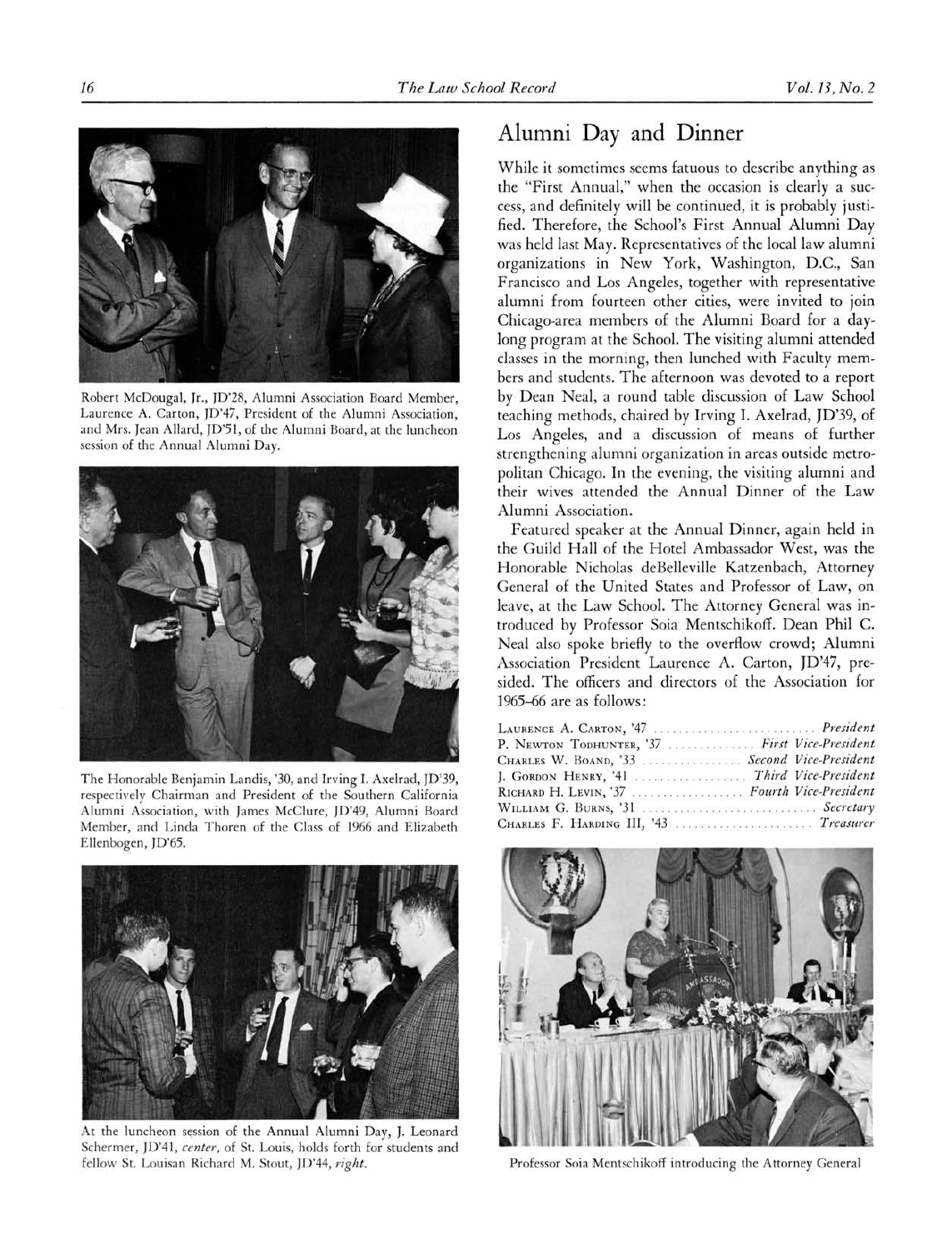

Robert McDougal, Jr., JD'28, Alumni Association Board Member, Laurence A. Carton, JD'47, President of the Alumni Association, and Mrs. Jean Allard, JO'51, of the Alumni Board, at the luncheon session of the Annual Alumni Day.



The Honorable Benjamin Landis, '30, and Irving 1. Axelrad, JD'39, respectively Chairman and President of the Southern California Alumni Association, with James McClure, JD'49, Alumni Board Member, and Linda Thoren of the Class of <sup>1966</sup> and Elizabeth Ellenbogen, JD'65.



At the luncheon session of the Annual Alumni Day, J. Leonard Schermer, JD'41, center, of St. Louis, holds forth for students and fellow St. Louisan Richard M. Stout, JD'44, right.

## Alumni Day and Dinner

While it sometimes seems fatuous to describe anything as the "First Annual," when the occasion is clearly <sup>a</sup> success, and definitely will be continued, it is probably justified. Therefore, the School's First Annual Alumni Day was held last May. Representatives of the local law alumni organizations in New York, Washington, D.C., San Francisco and Los Angeles, together with representative alumni from fourteen other cities, were invited to join Chicago-area members of the Alumni Board for <sup>a</sup> daylong program at the School. The visiting alumni attended classes in the morning, then lunched with Faculty members and students. The afternoon was devoted to a report by Dean Neal, <sup>a</sup> round table discussion of Law School teaching methods, chaired by Irving I. Axelrad, ]D'39, of Los Angeles, and <sup>a</sup> discussion of means of further strengthening alumni organization in areas outside metropolitan Chicago. In the evening, the visiting alumni and their wives attended the Annual Dinner of the Law Alumni Association.

Featured speaker at the Annual Dinner, again held in the Guild Hall of the Hotel Ambassador West, was the Honorable Nicholas deBelleville Katzenbach, Attorney General of the United States and Professor of. Law, on leave, at the Law School. The Attorney General was introduced by Professor Soia Mentschikoff. Dean Phil C. Neal also spoke briefly to the overflow crowd; Alumni Association President Laurence A. Carton, JD'47, presided. The officers and directors of the Association for 1965-66 are as follows:

| LAURENCE A. CARTON, '47  President             |  |
|------------------------------------------------|--|
| P. NEWTON TODHUNTER, '37  First Vice-President |  |
| CHARLES W. BOAND, '33  Second Vice-President   |  |
| J. GORDON HENRY, '41  Third Vice-President     |  |
| RICHARD H. LEVIN, '37  Fourth Vice-President   |  |
| WILLIAM G. BURNS, '31  Secretary               |  |
| CHARLES F. HARDING III, '43  Treasurer         |  |



Professor Soia Mentschikoff introducing the Attorney General